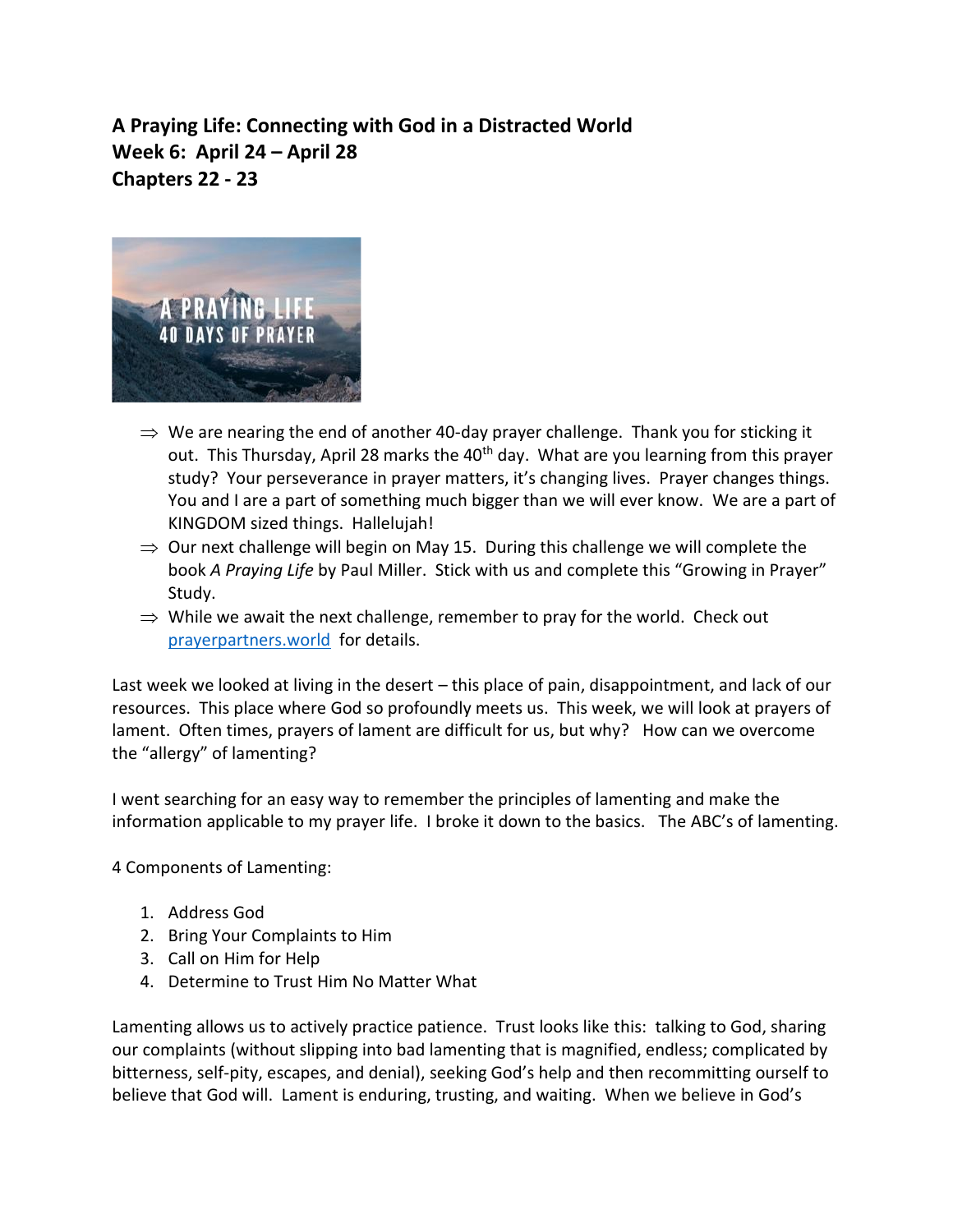**A Praying Life: Connecting with God in a Distracted World Week 6: April 24 – April 28 Chapters 22 - 23**



- $\Rightarrow$  We are nearing the end of another 40-day prayer challenge. Thank you for sticking it out. This Thursday, April 28 marks the 40<sup>th</sup> day. What are you learning from this prayer study? Your perseverance in prayer matters, it's changing lives. Prayer changes things. You and I are a part of something much bigger than we will ever know. We are a part of KINGDOM sized things. Hallelujah!
- $\Rightarrow$  Our next challenge will begin on May 15. During this challenge we will complete the book *A Praying Life* by Paul Miller. Stick with us and complete this "Growing in Prayer" Study.
- $\Rightarrow$  While we await the next challenge, remember to pray for the world. Check out <prayerpartners.world> for details.

Last week we looked at living in the desert – this place of pain, disappointment, and lack of our resources. This place where God so profoundly meets us. This week, we will look at prayers of lament. Often times, prayers of lament are difficult for us, but why? How can we overcome the "allergy" of lamenting?

I went searching for an easy way to remember the principles of lamenting and make the information applicable to my prayer life. I broke it down to the basics. The ABC's of lamenting.

4 Components of Lamenting:

- 1. Address God
- 2. Bring Your Complaints to Him
- 3. Call on Him for Help
- 4. Determine to Trust Him No Matter What

Lamenting allows us to actively practice patience. Trust looks like this: talking to God, sharing our complaints (without slipping into bad lamenting that is magnified, endless; complicated by bitterness, self-pity, escapes, and denial), seeking God's help and then recommitting ourself to believe that God will. Lament is enduring, trusting, and waiting. When we believe in God's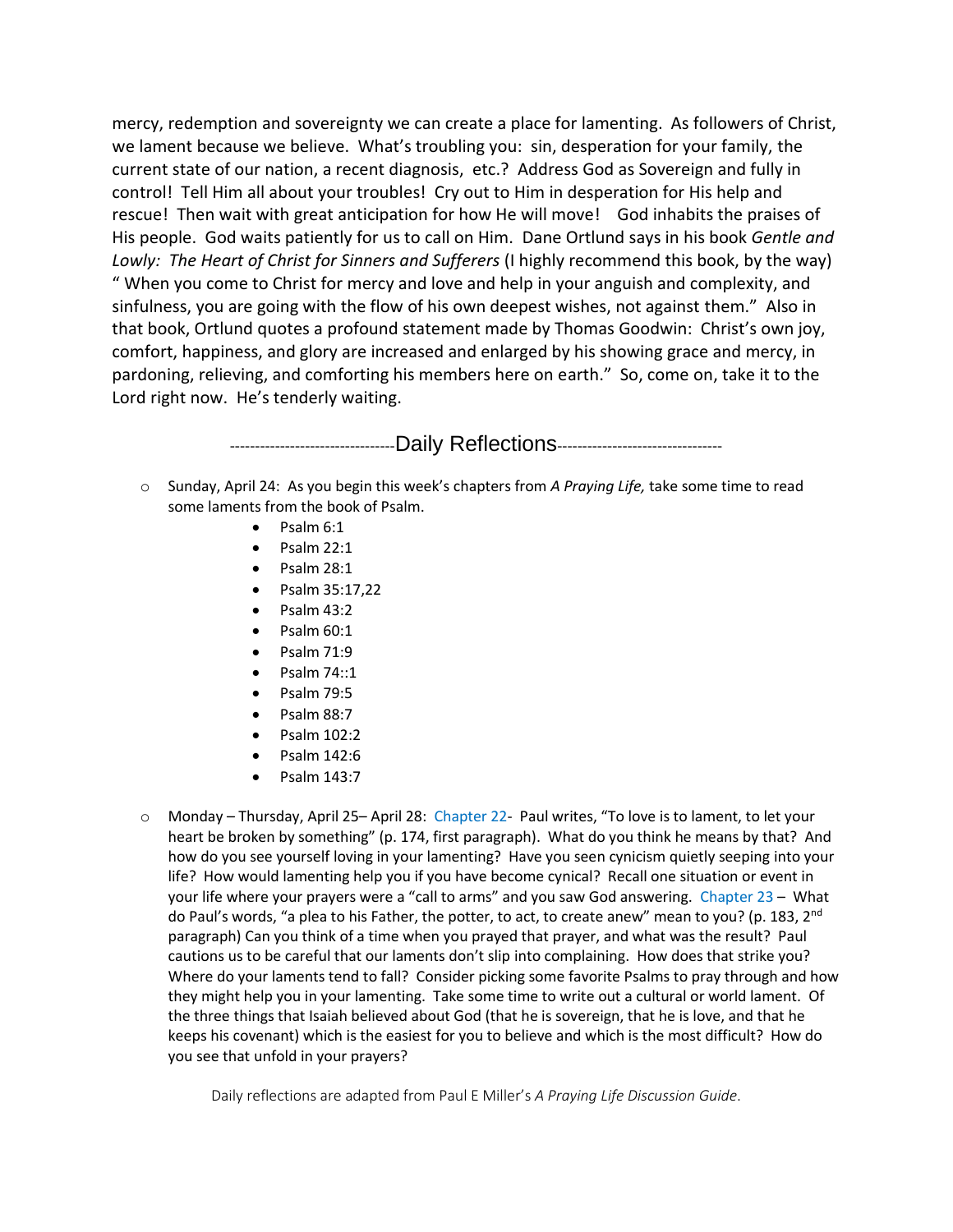mercy, redemption and sovereignty we can create a place for lamenting. As followers of Christ, we lament because we believe. What's troubling you: sin, desperation for your family, the current state of our nation, a recent diagnosis, etc.? Address God as Sovereign and fully in control! Tell Him all about your troubles! Cry out to Him in desperation for His help and rescue! Then wait with great anticipation for how He will move! God inhabits the praises of His people. God waits patiently for us to call on Him. Dane Ortlund says in his book *Gentle and Lowly: The Heart of Christ for Sinners and Sufferers* (I highly recommend this book, by the way) " When you come to Christ for mercy and love and help in your anguish and complexity, and sinfulness, you are going with the flow of his own deepest wishes, not against them." Also in that book, Ortlund quotes a profound statement made by Thomas Goodwin: Christ's own joy, comfort, happiness, and glory are increased and enlarged by his showing grace and mercy, in pardoning, relieving, and comforting his members here on earth." So, come on, take it to the

Lord right now. He's tenderly waiting.

-------------------------------Daily Reflections---------------------------------

- o Sunday, April 24: As you begin this week's chapters from *A Praying Life,* take some time to read some laments from the book of Psalm.
	- Psalm 6:1
	- $\bullet$  Psalm 22:1
	- Psalm 28:1
	- Psalm 35:17,22
	- Psalm 43:2
	- Psalm 60:1
	- Psalm 71:9
	- Psalm 74::1
	- Psalm 79:5
	- Psalm 88:7
	- Psalm 102:2
	- Psalm 142:6
	- Psalm 143:7
- o Monday Thursday, April 25– April 28: Chapter 22- Paul writes, "To love is to lament, to let your heart be broken by something" (p. 174, first paragraph). What do you think he means by that? And how do you see yourself loving in your lamenting? Have you seen cynicism quietly seeping into your life? How would lamenting help you if you have become cynical? Recall one situation or event in your life where your prayers were a "call to arms" and you saw God answering. Chapter 23 – What do Paul's words, "a plea to his Father, the potter, to act, to create anew" mean to you? (p. 183, 2<sup>nd</sup> paragraph) Can you think of a time when you prayed that prayer, and what was the result? Paul cautions us to be careful that our laments don't slip into complaining. How does that strike you? Where do your laments tend to fall? Consider picking some favorite Psalms to pray through and how they might help you in your lamenting. Take some time to write out a cultural or world lament. Of the three things that Isaiah believed about God (that he is sovereign, that he is love, and that he keeps his covenant) which is the easiest for you to believe and which is the most difficult? How do you see that unfold in your prayers?

Daily reflections are adapted from Paul E Miller's *A Praying Life Discussion Guide*.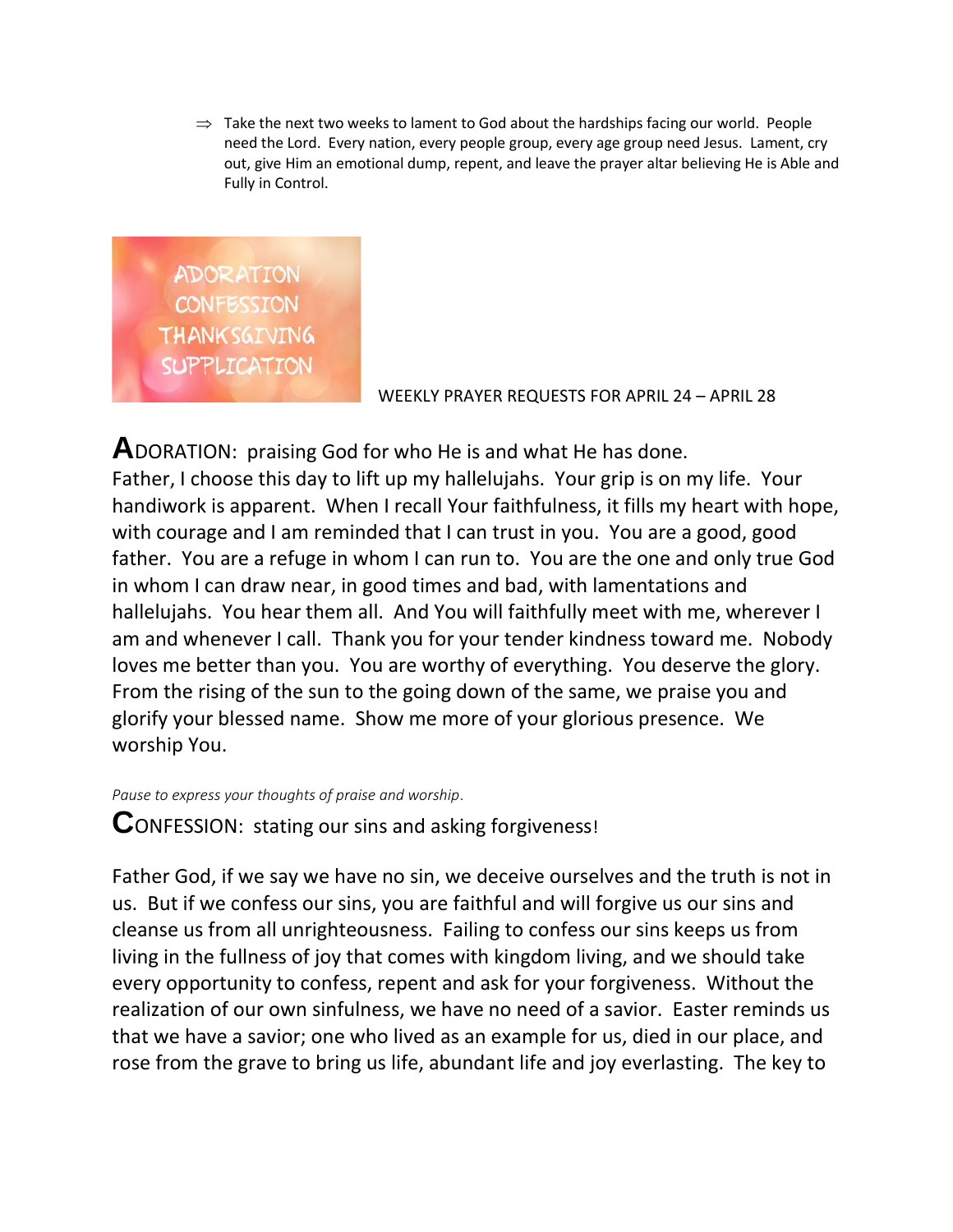$\Rightarrow$  Take the next two weeks to lament to God about the hardships facing our world. People need the Lord. Every nation, every people group, every age group need Jesus. Lament, cry out, give Him an emotional dump, repent, and leave the prayer altar believing He is Able and Fully in Control.

ADORATION **CONFESSION THANKSGIVING** SUPPLICATION

WEEKLY PRAYER REQUESTS FOR APRIL 24 – APRIL 28

**A**DORATION: praising God for who He is and what He has done. Father, I choose this day to lift up my hallelujahs. Your grip is on my life. Your handiwork is apparent. When I recall Your faithfulness, it fills my heart with hope, with courage and I am reminded that I can trust in you. You are a good, good father. You are a refuge in whom I can run to. You are the one and only true God in whom I can draw near, in good times and bad, with lamentations and hallelujahs. You hear them all. And You will faithfully meet with me, wherever I am and whenever I call. Thank you for your tender kindness toward me. Nobody loves me better than you. You are worthy of everything. You deserve the glory. From the rising of the sun to the going down of the same, we praise you and glorify your blessed name. Show me more of your glorious presence. We worship You.

*Pause to express your thoughts of praise and worship*.

**C**ONFESSION: stating our sins and asking forgiveness!

Father God, if we say we have no sin, we deceive ourselves and the truth is not in us. But if we confess our sins, you are faithful and will forgive us our sins and cleanse us from all unrighteousness. Failing to confess our sins keeps us from living in the fullness of joy that comes with kingdom living, and we should take every opportunity to confess, repent and ask for your forgiveness. Without the realization of our own sinfulness, we have no need of a savior. Easter reminds us that we have a savior; one who lived as an example for us, died in our place, and rose from the grave to bring us life, abundant life and joy everlasting. The key to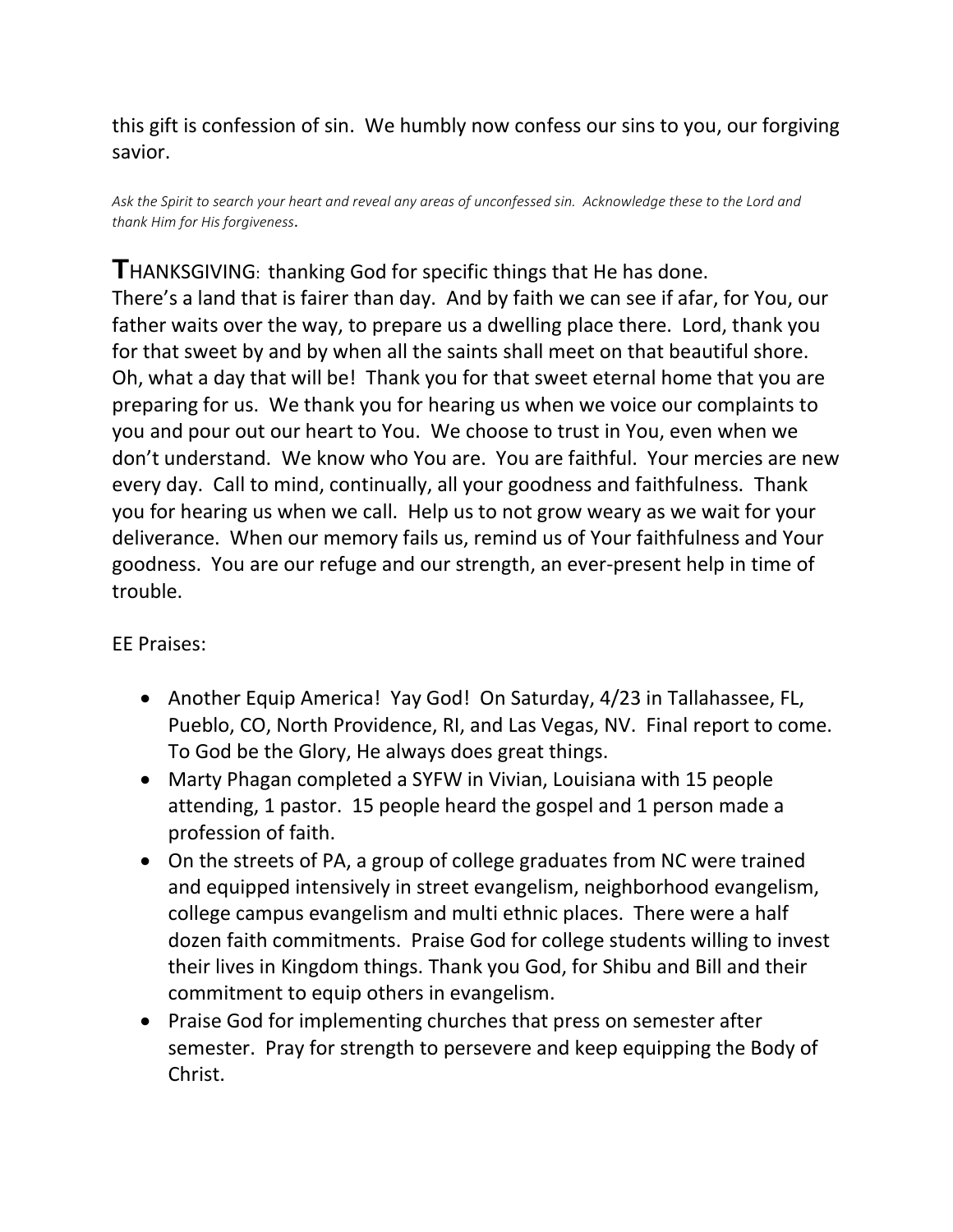this gift is confession of sin. We humbly now confess our sins to you, our forgiving savior.

*Ask the Spirit to search your heart and reveal any areas of unconfessed sin. Acknowledge these to the Lord and thank Him for His forgiveness*.

**T**HANKSGIVING: thanking God for specific things that He has done. There's a land that is fairer than day. And by faith we can see if afar, for You, our father waits over the way, to prepare us a dwelling place there. Lord, thank you for that sweet by and by when all the saints shall meet on that beautiful shore. Oh, what a day that will be! Thank you for that sweet eternal home that you are preparing for us. We thank you for hearing us when we voice our complaints to you and pour out our heart to You. We choose to trust in You, even when we don't understand. We know who You are. You are faithful. Your mercies are new every day. Call to mind, continually, all your goodness and faithfulness. Thank you for hearing us when we call. Help us to not grow weary as we wait for your deliverance. When our memory fails us, remind us of Your faithfulness and Your goodness. You are our refuge and our strength, an ever-present help in time of trouble.

EE Praises:

- Another Equip America! Yay God! On Saturday, 4/23 in Tallahassee, FL, Pueblo, CO, North Providence, RI, and Las Vegas, NV. Final report to come. To God be the Glory, He always does great things.
- Marty Phagan completed a SYFW in Vivian, Louisiana with 15 people attending, 1 pastor. 15 people heard the gospel and 1 person made a profession of faith.
- On the streets of PA, a group of college graduates from NC were trained and equipped intensively in street evangelism, neighborhood evangelism, college campus evangelism and multi ethnic places. There were a half dozen faith commitments. Praise God for college students willing to invest their lives in Kingdom things. Thank you God, for Shibu and Bill and their commitment to equip others in evangelism.
- Praise God for implementing churches that press on semester after semester. Pray for strength to persevere and keep equipping the Body of Christ.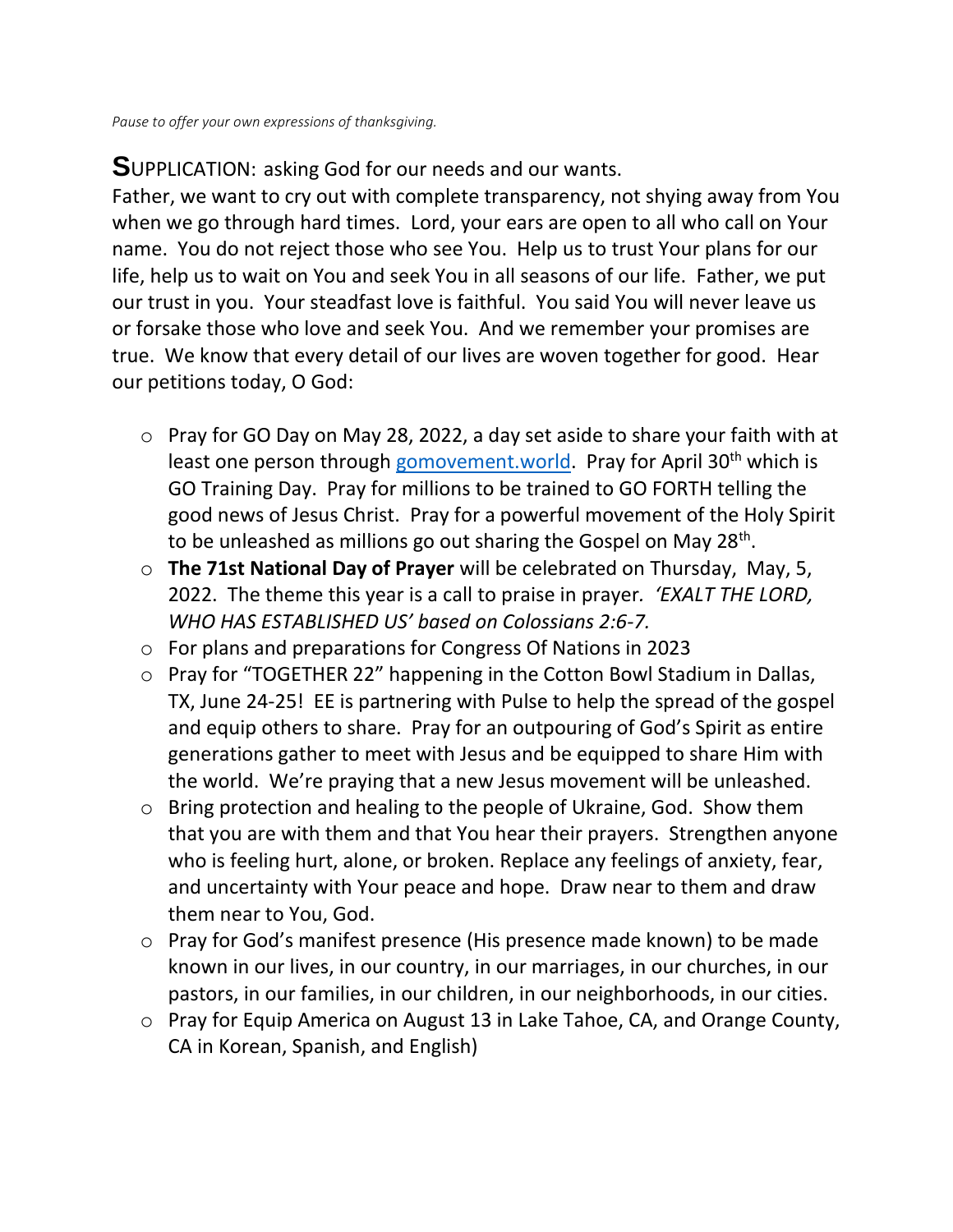**S**UPPLICATION: asking God for our needs and our wants.

Father, we want to cry out with complete transparency, not shying away from You when we go through hard times. Lord, your ears are open to all who call on Your name. You do not reject those who see You. Help us to trust Your plans for our life, help us to wait on You and seek You in all seasons of our life. Father, we put our trust in you. Your steadfast love is faithful. You said You will never leave us or forsake those who love and seek You. And we remember your promises are true. We know that every detail of our lives are woven together for good. Hear our petitions today, O God:

- o Pray for GO Day on May 28, 2022, a day set aside to share your faith with at least one person through [gomovement.world.](gomovement.world) Pray for April 30<sup>th</sup> which is GO Training Day. Pray for millions to be trained to GO FORTH telling the good news of Jesus Christ. Pray for a powerful movement of the Holy Spirit to be unleashed as millions go out sharing the Gospel on May 28<sup>th</sup>.
- o **The 71st National Day of Prayer** will be celebrated on Thursday, May, 5, 2022. The theme this year is a call to praise in prayer*. 'EXALT THE LORD, WHO HAS ESTABLISHED US' based on Colossians 2:6-7.*
- o For plans and preparations for Congress Of Nations in 2023
- o Pray for "TOGETHER 22" happening in the Cotton Bowl Stadium in Dallas, TX, June 24-25! EE is partnering with Pulse to help the spread of the gospel and equip others to share. Pray for an outpouring of God's Spirit as entire generations gather to meet with Jesus and be equipped to share Him with the world. We're praying that a new Jesus movement will be unleashed.
- o Bring protection and healing to the people of Ukraine, God. Show them that you are with them and that You hear their prayers. Strengthen anyone who is feeling hurt, alone, or broken. Replace any feelings of anxiety, fear, and uncertainty with Your peace and hope. Draw near to them and draw them near to You, God.
- o Pray for God's manifest presence (His presence made known) to be made known in our lives, in our country, in our marriages, in our churches, in our pastors, in our families, in our children, in our neighborhoods, in our cities.
- o Pray for Equip America on August 13 in Lake Tahoe, CA, and Orange County, CA in Korean, Spanish, and English)